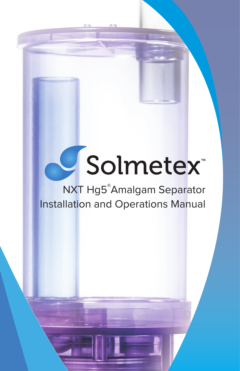# USolmetex

# NXT Hg5® Amalgam Separator Installation and Operations Manual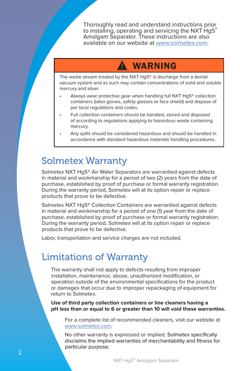Thoroughly read and understand instructions prior to installing, operating and servicing the NXT Hg5® Amalgam Separator. These instructions are also available on our website at www.solmetex.com.

## **WARNING**

The waste stream treated by the NXT Hg5® is discharge from a dental vacuum system and as such may contain concentrations of solid and soluble mercury and silver.

- Always wear protective gear when handling full NXT Hg5® collection containers (latex gloves, safety glasses or face shield) and dispose of per local regulations and codes.
- Full collection containers should be handled, stored and disposed of according to regulations applying to hazardous waste containing mercury.
- Any spills should be considered hazardous and should be handled in accordance with standard hazardous materials handling procedures.

## Solmetex Warranty

Solmetex NXT Hg5® Air Water Separators are warrantied against defects in material and workmanship for a period of two (2) years from the date of purchase, established by proof of purchase or formal warranty registration. During the warranty period, Solmetex will at its option repair or replace products that prove to be defective.

Solmetex NXT Hg5® Collection Containers are warrantied against defects in material and workmanship for a period of one (1) year from the date of purchase, established by proof of purchase or formal warranty registration. During the warranty period, Solmetex will at its option repair or replace products that prove to be defective.

Labor, transportation and service charges are not included.

## Limitations of Warranty

The warranty shall not apply to defects resulting from improper installation, maintenance, abuse, unauthorized modification, or operation outside of the environmental specifications for the product or damages that occur due to improper repackaging of equipment for return to Solmetex.

**Use of third party collection containers or line cleaners having a pH less than or equal to 6 or greater than 10 will void these warranties.**

For a complete list of recommended cleaners, visit our website at www.solmetex.com.

No other warranty is expressed or implied. Solmetex specifically disclaims the implied warranties of merchantability and fitness for particular purpose.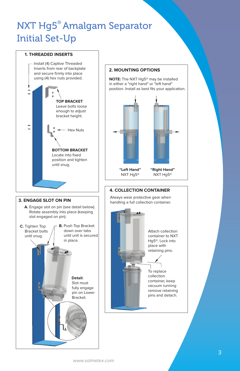# NXT Hg5® Amalgam Separator Initial Set-Up

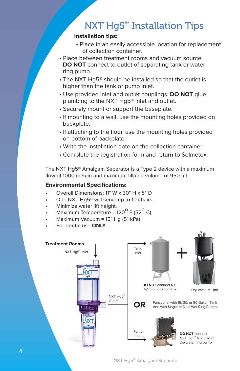# NXT Hg5® Installation Tips

## **Installation tips:**

- Place in an easily accessible location for replacement of collection container.
- Place between treatment rooms and vacuum source. **DO NOT** connect to outlet of separating tank or water ring pump.
- The NXT Hg5® should be installed so that the outlet is higher than the tank or pump inlet.
- Use provided inlet and outlet couplings. **DO NOT** glue plumbing to the NXT Hg5® inlet and outlet.
- Securely mount or support the baseplate.
- If mounting to a wall, use the mounting holes provided on backplate.
- If attaching to the floor, use the mounting holes provided on bottom of backplate.
- Write the installation date on the collection container.
- Complete the registration form and return to Solmetex.

The NXT Hg5® Amalgam Separator is a Type 2 device with a maximum flow of 1000 ml/min and maximum fillable volume of 950 ml.

## **Environmental Specifications:**

- Overall Dimensions: 11" W x 30" H x 8" D
- One NXT Hg5<sup>®</sup> will serve up to 10 chairs.
- Minimize water lift height.
- Maximum Temperature =  $120^{\circ}$  F (52 $^{\circ}$  C)
- Maximum Vacuum = 15" Hg (51 kPa)
- For dental use **ONLY**.

4

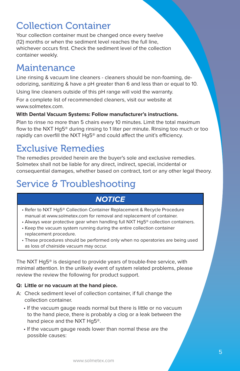# Collection Container

Your collection container must be changed once every twelve (12) months or when the sediment level reaches the full line, whichever occurs first. Check the sediment level of the collection container weekly.

## Maintenance

Line rinsing & vacuum line cleaners - cleaners should be non-foaming, deodorizing, sanitizing & have a pH greater than 6 and less than or equal to 10.

Using line cleaners outside of this pH range will void the warranty.

For a complete list of recommended cleaners, visit our website at www.solmetex.com.

## **With Dental Vacuum Systems: Follow manufacturer's instructions.**

Plan to rinse no more than 5 chairs every 10 minutes. Limit the total maximum flow to the NXT Hg5® during rinsing to 1 liter per minute. Rinsing too much or too rapidly can overfill the NXT Hg5<sup>®</sup> and could affect the unit's efficiency.

# Exclusive Remedies

The remedies provided herein are the buyer's sole and exclusive remedies. Solmetex shall not be liable for any direct, indirect, special, incidental or consequential damages, whether based on contract, tort or any other legal theory.

# Service & Troubleshooting

## **NOTICE**

- Refer to NXT Hg5® Collection Container Replacement & Recycle Procedure manual at www.solmetex.com for removal and replacement of container.
- Always wear protective gear when handling full NXT Hg5® collection containers.
- Keep the vacuum system running during the entire collection container replacement procedure.
- These procedures should be performed only when no operatories are being used as loss of chairside vacuum may occur.

The NXT Hg5® is designed to provide years of trouble-free service, with minimal attention. In the unlikely event of system related problems, please review the review the following for product support.

## **Q: Little or no vacuum at the hand piece.**

- A: Check sediment level of collection container, if full change the collection container.
	- If the vacuum gauge reads normal but there is little or no vacuum to the hand piece, there is probably a clog or a leak between the hand piece and the NXT Hg5®.
	- If the vacuum gauge reads lower than normal these are the possible causes: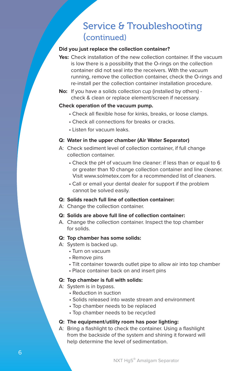## Service & Troubleshooting (continued)

### **Did you just replace the collection container?**

- Yes: Check installation of the new collection container. If the vacuum is low there is a possibility that the O-rings on the collection container did not seal into the receivers. With the vacuum running, remove the collection container, check the O-rings and re-install per the collection container installation procedure.
- **No:** If you have a solids collection cup (installed by others) check & clean or replace element/screen if necessary.

#### **Check operation of the vacuum pump.**

- Check all flexible hose for kinks, breaks, or loose clamps.
- Check all connections for breaks or cracks.
- Listen for vacuum leaks.

## **Q: Water in the upper chamber (Air Water Separator)**

- A: Check sediment level of collection container, if full change collection container.
	- Check the pH of vacuum line cleaner: if less than or equal to 6 or greater than 10 change collection container and line cleaner. Visit www.solmetex.com for a recommended list of cleaners.
	- Call or email your dental dealer for support if the problem cannot be solved easily.

## **Q: Solids reach full line of collection container:**

A: Change the collection container.

#### **Q: Solids are above full line of collection container:**

A. Change the collection container. Inspect the top chamber for solids.

#### **Q: Top chamber has some solids:**

- A: System is backed up.
	- Turn on vacuum
	- Remove pins
	- Tilt container towards outlet pipe to allow air into top chamber
	- Place container back on and insert pins

#### **Q: Top chamber is full with solids:**

- A: System is in bypass.
	- Reduction in suction
	- Solids released into waste stream and environment
	- Top chamber needs to be replaced
	- Top chamber needs to be recycled

#### **Q: The equipment/utility room has poor lighting:**

A: Bring a flashlight to check the container. Using a flashlight from the backside of the system and shining it forward will help determine the level of sedimentation.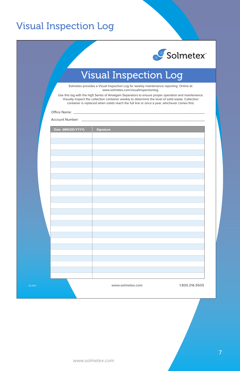## Visual Inspection Log



# Visual Inspection Log

Solmetex provides a Visual Inspection Log for weekly maintenance reporting. Online at: www.solmetex.com/visualinspectionlog.

Use this log with the Hg5 Series of Amalgam Separators to ensure proper operation and maintenance. Visually inspect the collection container weekly to determine the level of solid waste. Collection container is replaced when solids reach the full line or once a year, whichever comes first.

Office Name: \_

| Account Number: |  |
|-----------------|--|
|                 |  |
|                 |  |
|                 |  |

|         | Date (MM/DD/YYYY) | Signature        |                |
|---------|-------------------|------------------|----------------|
|         |                   |                  |                |
|         |                   |                  |                |
|         |                   |                  |                |
|         |                   |                  |                |
|         |                   |                  |                |
|         |                   |                  |                |
|         |                   |                  |                |
|         |                   |                  |                |
|         |                   |                  |                |
|         |                   |                  |                |
|         |                   |                  |                |
|         |                   |                  |                |
|         |                   |                  |                |
|         |                   |                  |                |
|         |                   |                  |                |
|         |                   |                  |                |
|         |                   |                  |                |
|         |                   |                  |                |
|         |                   |                  |                |
|         |                   |                  |                |
|         |                   |                  |                |
|         |                   |                  |                |
|         |                   |                  |                |
|         |                   |                  |                |
|         |                   |                  |                |
|         |                   |                  |                |
|         |                   |                  |                |
|         |                   |                  |                |
|         |                   |                  |                |
|         |                   |                  |                |
|         |                   |                  |                |
|         |                   |                  |                |
|         |                   |                  |                |
| 04.2017 |                   | www.solmetex.com | 1.800.216.5505 |
|         |                   |                  |                |
|         |                   |                  |                |